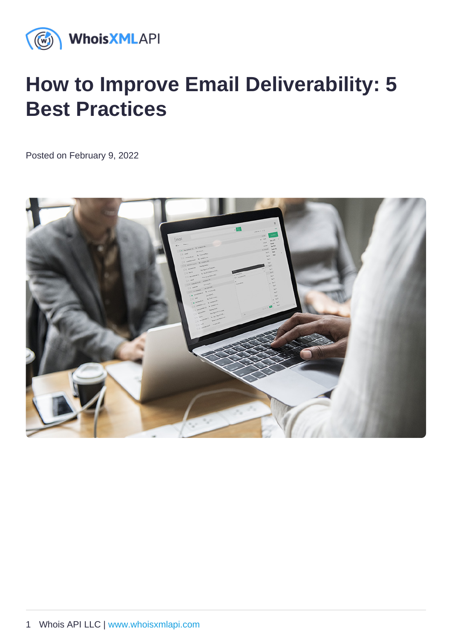# How to Improve Email Deliverability: 5 Best Practices

Posted on February 9, 2022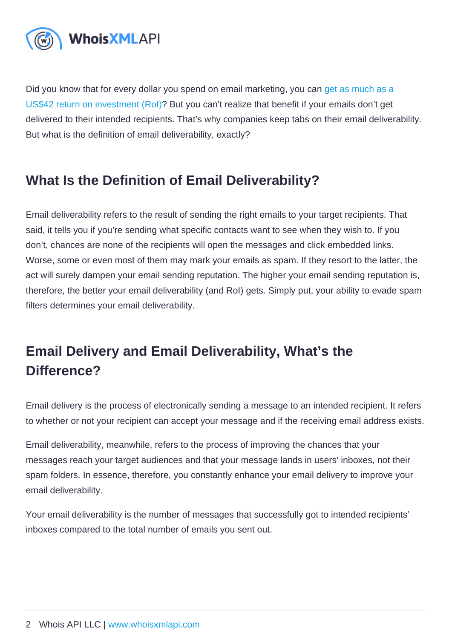Did you know that for every dollar you spend on email marketing, you can get as much as a [US\\$42 return on investment \(RoI\)](https://www.oberlo.com/blog/email-marketing-statistics)? But you can't realize that benefit if your emails don't get delivered to their intended recipients. That's why companies keep tabs on their email deliverability. But what is the definition of email deliverability, exactly?

# What Is the Definition of Email Deliverability ?

Email deliverability refers to the result of sending the right emails to your target recipients. That said, it tells you if you're sending what specific contacts want to see when they wish to. If you don't, chances are none of the recipients will open the messages and click embedded links. Worse, some or even most of them may mark your emails as spam. If they resort to the latter, the act will surely dampen your email sending reputation. The higher your email sending reputation is, therefore, the better your email deliverability (and RoI) gets. Simply put, your ability to evade spam filters determines your email deliverability.

# Email Delivery and Email Deliverability , What's the Difference?

Email delivery is the process of electronically sending a message to an intended recipient. It refers to whether or not your recipient can accept your message and if the receiving email address exists.

Email deliverability, meanwhile, refers to the process of improving the chances that your messages reach your target audiences and that your message lands in users' inboxes, not their spam folders. In essence, therefore, you constantly enhance your email delivery to improve your email deliverability.

Your email deliverability is the number of messages that successfully got to intended recipients' inboxes compared to the total number of emails you sent out.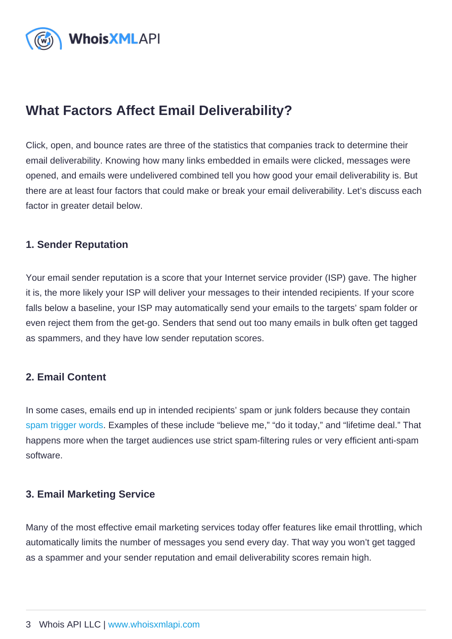# What Factors Affect Email Deliverability ?

Click, open, and bounce rates are three of the statistics that companies track to determine their email deliverability. Knowing how many links embedded in emails were clicked, messages were opened, and emails were undelivered combined tell you how good your email deliverability is. But there are at least four factors that could make or break your email deliverability. Let's discuss each factor in greater detail below.

#### 1. Sender Reputation

Your email sender reputation is a score that your Internet service provider (ISP) gave. The higher it is, the more likely your ISP will deliver your messages to their intended recipients. If your score falls below a baseline, your ISP may automatically send your emails to the targets' spam folder or even reject them from the get-go. Senders that send out too many emails in bulk often get tagged as spammers, and they have low sender reputation scores.

#### 2. Email Content

In some cases, emails end up in intended recipients' spam or junk folders because they contain [spam trigger words](https://outfunnel.com/spam-trigger-words/). Examples of these include "believe me," "do it today," and "lifetime deal." That happens more when the target audiences use strict spam-filtering rules or very efficient anti-spam software.

#### 3. Email Marketing Service

Many of the most effective email marketing services today offer features like email throttling, which automatically limits the number of messages you send every day. That way you won't get tagged as a spammer and your sender reputation and email deliverability scores remain high.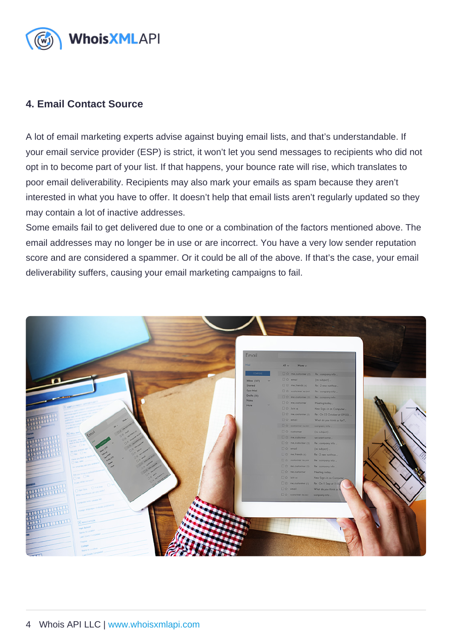#### 4. Email Contact Source

A lot of email marketing experts advise against buying email lists, and that's understandable. If your email service provider (ESP) is strict, it won't let you send messages to recipients who did not opt in to become part of your list. If that happens, your bounce rate will rise, which translates to poor email deliverability. Recipients may also mark your emails as spam because they aren't interested in what you have to offer. It doesn't help that email lists aren't regularly updated so they may contain a lot of inactive addresses.

Some emails fail to get delivered due to one or a combination of the factors mentioned above. The email addresses may no longer be in use or are incorrect. You have a very low sender reputation score and are considered a spammer. Or it could be all of the above. If that's the case, your email deliverability suffers, causing your email marketing campaigns to fail.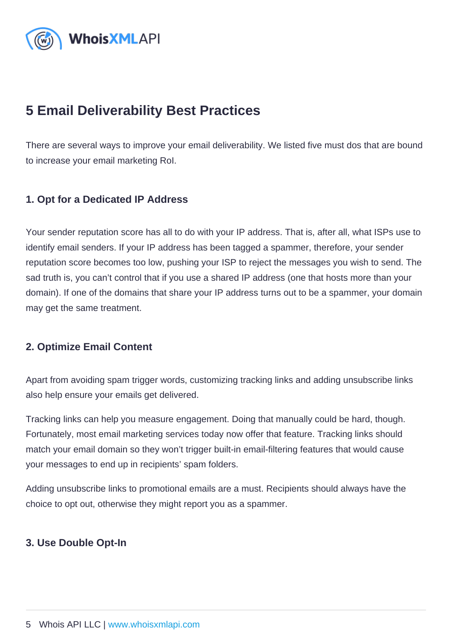# 5 Email Deliverability Best Practices

There are several ways to improve your email deliverability. We listed five must dos that are bound to increase your email marketing RoI.

#### 1. Opt for a Dedicated IP Address

Your sender reputation score has all to do with your IP address. That is, after all, what ISPs use to identify email senders. If your IP address has been tagged a spammer, therefore, your sender reputation score becomes too low, pushing your ISP to reject the messages you wish to send. The sad truth is, you can't control that if you use a shared IP address (one that hosts more than your domain). If one of the domains that share your IP address turns out to be a spammer, your domain may get the same treatment.

#### 2. Optimize Email Content

Apart from avoiding spam trigger words, customizing tracking links and adding unsubscribe links also help ensure your emails get delivered.

Tracking links can help you measure engagement. Doing that manually could be hard, though. Fortunately, most email marketing services today now offer that feature. Tracking links should match your email domain so they won't trigger built-in email-filtering features that would cause your messages to end up in recipients' spam folders.

Adding unsubscribe links to promotional emails are a must. Recipients should always have the choice to opt out, otherwise they might report you as a spammer.

3. Use Double Opt-In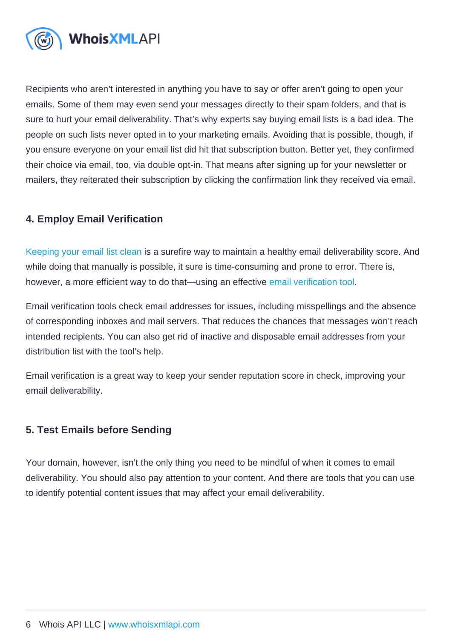Recipients who aren't interested in anything you have to say or offer aren't going to open your emails. Some of them may even send your messages directly to their spam folders, and that is sure to hurt your email deliverability. That's why experts say buying email lists is a bad idea. The people on such lists never opted in to your marketing emails. Avoiding that is possible, though, if you ensure everyone on your email list did hit that subscription button. Better yet, they confirmed their choice via email, too, via double opt-in. That means after signing up for your newsletter or mailers, they reiterated their subscription by clicking the confirmation link they received via email.

#### 4. Employ Email Verification

[Keeping your email list clean](https://emailverification.whoisxmlapi.com/blog/how-to-clean-your-email-list-with-the-help-of-email-verification-software) is a surefire way to maintain a healthy email deliverability score. And while doing that manually is possible, it sure is time-consuming and prone to error. There is, however, a more efficient way to do that—using an effective [email verification tool.](https://emailverification.whoisxmlapi.com/)

Email verification tools check email addresses for issues, including misspellings and the absence of corresponding inboxes and mail servers. That reduces the chances that messages won't reach intended recipients. You can also get rid of inactive and disposable email addresses from your distribution list with the tool's help.

Email verification is a great way to keep your sender reputation score in check, improving your email deliverability.

#### 5. Test Emails before Sending

Your domain, however, isn't the only thing you need to be mindful of when it comes to email deliverability. You should also pay attention to your content. And there are tools that you can use to identify potential content issues that may affect your email deliverability.